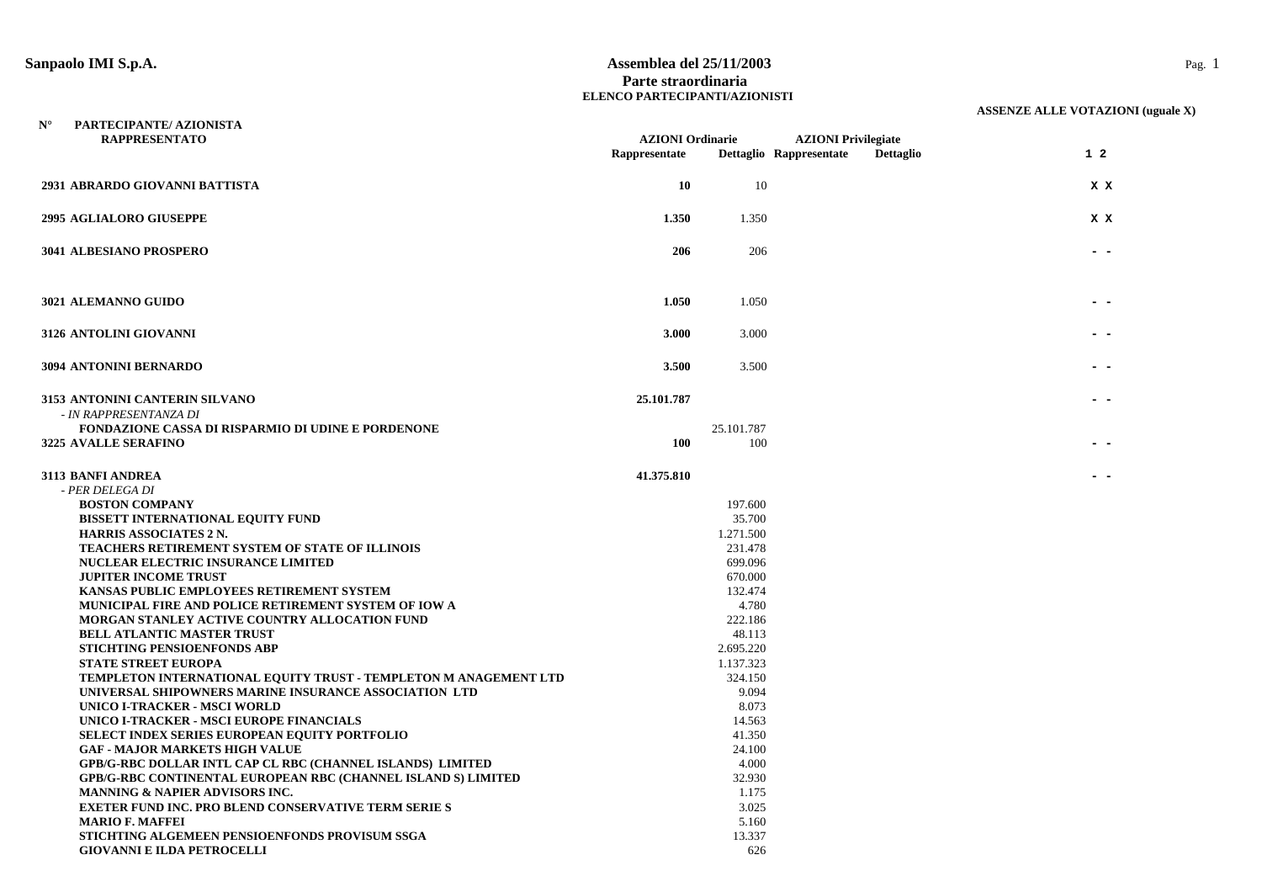#### **Sanpaolo IMI S.p.A. Assemblea del 25/11/2003** Pag. 1 **Parte straordinaria ELENCO PARTECIPANTI/AZIONISTI**

| $N^{\circ}$ | PARTECIPANTE/ AZIONISTA<br><b>RAPPRESENTATO</b>                                                | <b>AZIONI Ordinarie</b><br>Rappresentate |                      | <b>AZIONI Privilegiate</b><br>Dettaglio Rappresentate | <b>Dettaglio</b> | $1\quad2$ |
|-------------|------------------------------------------------------------------------------------------------|------------------------------------------|----------------------|-------------------------------------------------------|------------------|-----------|
|             | 2931 ABRARDO GIOVANNI BATTISTA                                                                 | 10                                       | 10                   |                                                       |                  | X X       |
|             | <b>2995 AGLIALORO GIUSEPPE</b>                                                                 | 1.350                                    | 1.350                |                                                       |                  | X X       |
|             | 3041 ALBESIANO PROSPERO                                                                        | 206                                      | 206                  |                                                       |                  |           |
|             | 3021 ALEMANNO GUIDO                                                                            | 1.050                                    | 1.050                |                                                       |                  |           |
|             | 3126 ANTOLINI GIOVANNI                                                                         | 3.000                                    | 3.000                |                                                       |                  |           |
|             | 3094 ANTONINI BERNARDO                                                                         | 3.500                                    | 3.500                |                                                       |                  |           |
|             | 3153 ANTONINI CANTERIN SILVANO<br>- IN RAPPRESENTANZA DI                                       | 25.101.787                               |                      |                                                       |                  |           |
|             | FONDAZIONE CASSA DI RISPARMIO DI UDINE E PORDENONE                                             |                                          | 25.101.787           |                                                       |                  |           |
|             | 3225 AVALLE SERAFINO                                                                           | 100                                      | 100                  |                                                       |                  |           |
|             | 3113 BANFI ANDREA<br>- PER DELEGA DI                                                           | 41.375.810                               |                      |                                                       |                  |           |
|             | <b>BOSTON COMPANY</b>                                                                          |                                          | 197.600              |                                                       |                  |           |
|             | <b>BISSETT INTERNATIONAL EQUITY FUND</b>                                                       |                                          | 35.700               |                                                       |                  |           |
|             | <b>HARRIS ASSOCIATES 2 N.</b>                                                                  |                                          | 1.271.500            |                                                       |                  |           |
|             | <b>TEACHERS RETIREMENT SYSTEM OF STATE OF ILLINOIS</b>                                         |                                          | 231.478              |                                                       |                  |           |
|             | NUCLEAR ELECTRIC INSURANCE LIMITED                                                             |                                          | 699.096              |                                                       |                  |           |
|             | <b>JUPITER INCOME TRUST</b>                                                                    |                                          | 670.000              |                                                       |                  |           |
|             | KANSAS PUBLIC EMPLOYEES RETIREMENT SYSTEM                                                      |                                          | 132.474              |                                                       |                  |           |
|             | MUNICIPAL FIRE AND POLICE RETIREMENT SYSTEM OF IOW A                                           |                                          | 4.780                |                                                       |                  |           |
|             | <b>MORGAN STANLEY ACTIVE COUNTRY ALLOCATION FUND</b>                                           |                                          | 222.186              |                                                       |                  |           |
|             | <b>BELL ATLANTIC MASTER TRUST</b>                                                              |                                          | 48.113               |                                                       |                  |           |
|             | STICHTING PENSIOENFONDS ABP                                                                    |                                          | 2.695.220            |                                                       |                  |           |
|             | <b>STATE STREET EUROPA</b><br>TEMPLETON INTERNATIONAL EQUITY TRUST - TEMPLETON M ANAGEMENT LTD |                                          | 1.137.323<br>324.150 |                                                       |                  |           |
|             | UNIVERSAL SHIPOWNERS MARINE INSURANCE ASSOCIATION LTD                                          |                                          | 9.094                |                                                       |                  |           |
|             | UNICO I-TRACKER - MSCI WORLD                                                                   |                                          | 8.073                |                                                       |                  |           |
|             | UNICO I-TRACKER - MSCI EUROPE FINANCIALS                                                       |                                          | 14.563               |                                                       |                  |           |
|             | SELECT INDEX SERIES EUROPEAN EQUITY PORTFOLIO                                                  |                                          | 41.350               |                                                       |                  |           |
|             | <b>GAF - MAJOR MARKETS HIGH VALUE</b>                                                          |                                          | 24.100               |                                                       |                  |           |
|             | <b>GPB/G-RBC DOLLAR INTL CAP CL RBC (CHANNEL ISLANDS) LIMITED</b>                              |                                          | 4.000                |                                                       |                  |           |
|             | <b>GPB/G-RBC CONTINENTAL EUROPEAN RBC (CHANNEL ISLAND S) LIMITED</b>                           |                                          | 32.930               |                                                       |                  |           |
|             | MANNING & NAPIER ADVISORS INC.                                                                 |                                          | 1.175                |                                                       |                  |           |
|             | <b>EXETER FUND INC. PRO BLEND CONSERVATIVE TERM SERIE S</b>                                    |                                          | 3.025                |                                                       |                  |           |
|             | <b>MARIO F. MAFFEI</b>                                                                         |                                          | 5.160                |                                                       |                  |           |
|             | STICHTING ALGEMEEN PENSIOENFONDS PROVISUM SSGA                                                 |                                          | 13.337               |                                                       |                  |           |
|             | <b>GIOVANNI E ILDA PETROCELLI</b>                                                              |                                          | 626                  |                                                       |                  |           |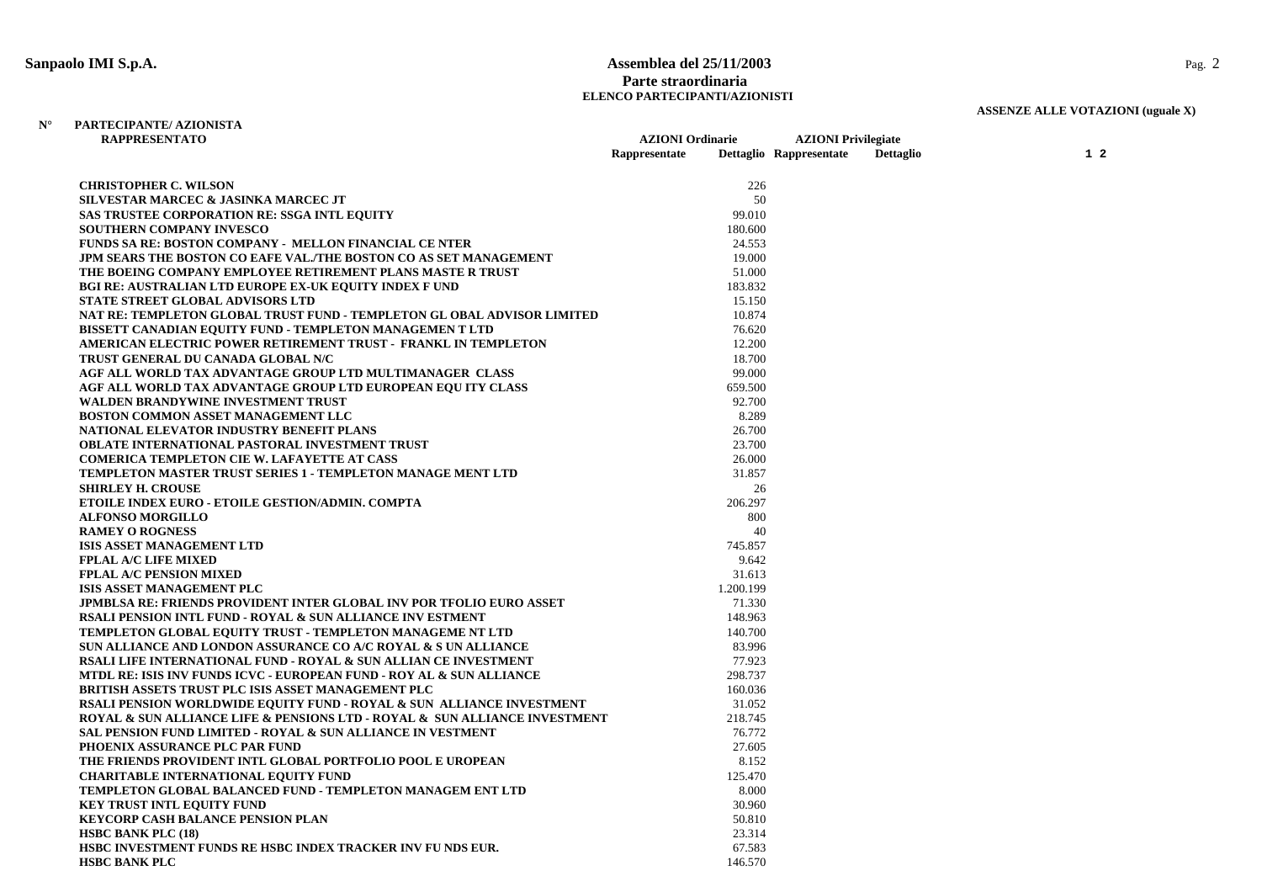### **Sanpaolo IMI S.p.A. Assemblea del 25/11/2003** Pag. 2 **Parte straordinaria ELENCO PARTECIPANTI/AZIONISTI**

**AZIONI Ordinarie AZIONI Privilegiate** 

# **ASSENZE ALLE VOTAZIONI (uguale X)**

#### **N° PARTECIPANTE/ AZIONISTA RAPPRESENTATO**

|                                                                                               | Rappresentate | Dettaglio Rappresentate | Dettaglio | $1\quad2$ |
|-----------------------------------------------------------------------------------------------|---------------|-------------------------|-----------|-----------|
| <b>CHRISTOPHER C. WILSON</b>                                                                  | 226           |                         |           |           |
| SILVESTAR MARCEC & JASINKA MARCEC JT                                                          | 50            |                         |           |           |
| <b>SAS TRUSTEE CORPORATION RE: SSGA INTL EQUITY</b>                                           | 99.010        |                         |           |           |
| <b>SOUTHERN COMPANY INVESCO</b>                                                               | 180.600       |                         |           |           |
| <b>FUNDS SA RE: BOSTON COMPANY - MELLON FINANCIAL CE NTER</b>                                 | 24.553        |                         |           |           |
| JPM SEARS THE BOSTON CO EAFE VAL./THE BOSTON CO AS SET MANAGEMENT                             | 19.000        |                         |           |           |
| THE BOEING COMPANY EMPLOYEE RETIREMENT PLANS MASTE R TRUST                                    | 51.000        |                         |           |           |
| <b>BGI RE: AUSTRALIAN LTD EUROPE EX-UK EQUITY INDEX F UND</b>                                 | 183.832       |                         |           |           |
| <b>STATE STREET GLOBAL ADVISORS LTD</b>                                                       | 15.150        |                         |           |           |
| NAT RE: TEMPLETON GLOBAL TRUST FUND - TEMPLETON GL OBAL ADVISOR LIMITED                       | 10.874        |                         |           |           |
| BISSETT CANADIAN EQUITY FUND - TEMPLETON MANAGEMEN T LTD                                      | 76.620        |                         |           |           |
| AMERICAN ELECTRIC POWER RETIREMENT TRUST - FRANKL IN TEMPLETON                                | 12.200        |                         |           |           |
| TRUST GENERAL DU CANADA GLOBAL N/C                                                            | 18.700        |                         |           |           |
| AGF ALL WORLD TAX ADVANTAGE GROUP LTD MULTIMANAGER CLASS                                      | 99.000        |                         |           |           |
| AGF ALL WORLD TAX ADVANTAGE GROUP LTD EUROPEAN EQUITY CLASS                                   | 659.500       |                         |           |           |
| WALDEN BRANDYWINE INVESTMENT TRUST                                                            | 92.700        |                         |           |           |
| <b>BOSTON COMMON ASSET MANAGEMENT LLC</b>                                                     | 8.289         |                         |           |           |
| NATIONAL ELEVATOR INDUSTRY BENEFIT PLANS                                                      | 26.700        |                         |           |           |
| <b>OBLATE INTERNATIONAL PASTORAL INVESTMENT TRUST</b>                                         | 23.700        |                         |           |           |
| <b>COMERICA TEMPLETON CIE W. LAFAYETTE AT CASS</b>                                            | 26.000        |                         |           |           |
| TEMPLETON MASTER TRUST SERIES 1 - TEMPLETON MANAGE MENT LTD                                   | 31.857        |                         |           |           |
| <b>SHIRLEY H. CROUSE</b>                                                                      | 26            |                         |           |           |
| ETOILE INDEX EURO - ETOILE GESTION/ADMIN. COMPTA                                              | 206.297       |                         |           |           |
| <b>ALFONSO MORGILLO</b>                                                                       | 800           |                         |           |           |
| <b>RAMEY O ROGNESS</b>                                                                        | 40            |                         |           |           |
| ISIS ASSET MANAGEMENT LTD                                                                     | 745.857       |                         |           |           |
| <b>FPLAL A/C LIFE MIXED</b>                                                                   | 9.642         |                         |           |           |
| <b>FPLAL A/C PENSION MIXED</b>                                                                | 31.613        |                         |           |           |
| ISIS ASSET MANAGEMENT PLC                                                                     | 1.200.199     |                         |           |           |
| <b>JPMBLSA RE: FRIENDS PROVIDENT INTER GLOBAL INV POR TFOLIO EURO ASSET</b>                   | 71.330        |                         |           |           |
| <b>RSALI PENSION INTL FUND - ROYAL &amp; SUN ALLIANCE INV ESTMENT</b>                         | 148.963       |                         |           |           |
| TEMPLETON GLOBAL EQUITY TRUST - TEMPLETON MANAGEME NT LTD                                     | 140.700       |                         |           |           |
| SUN ALLIANCE AND LONDON ASSURANCE CO A/C ROYAL & S UN ALLIANCE                                | 83.996        |                         |           |           |
| RSALI LIFE INTERNATIONAL FUND - ROYAL & SUN ALLIAN CE INVESTMENT                              | 77.923        |                         |           |           |
| MTDL RE: ISIS INV FUNDS ICVC - EUROPEAN FUND - ROY AL & SUN ALLIANCE                          | 298.737       |                         |           |           |
| <b>BRITISH ASSETS TRUST PLC ISIS ASSET MANAGEMENT PLC</b>                                     | 160.036       |                         |           |           |
| RSALI PENSION WORLDWIDE EQUITY FUND - ROYAL & SUN ALLIANCE INVESTMENT                         | 31.052        |                         |           |           |
| <b>ROYAL &amp; SUN ALLIANCE LIFE &amp; PENSIONS LTD - ROYAL &amp; SUN ALLIANCE INVESTMENT</b> | 218.745       |                         |           |           |
| SAL PENSION FUND LIMITED - ROYAL & SUN ALLIANCE IN VESTMENT                                   | 76.772        |                         |           |           |
| PHOENIX ASSURANCE PLC PAR FUND                                                                | 27.605        |                         |           |           |
| THE FRIENDS PROVIDENT INTL GLOBAL PORTFOLIO POOL E UROPEAN                                    | 8.152         |                         |           |           |
| <b>CHARITABLE INTERNATIONAL EQUITY FUND</b>                                                   | 125.470       |                         |           |           |
| TEMPLETON GLOBAL BALANCED FUND - TEMPLETON MANAGEM ENT LTD                                    | 8.000         |                         |           |           |
| <b>KEY TRUST INTL EQUITY FUND</b>                                                             | 30.960        |                         |           |           |
| <b>KEYCORP CASH BALANCE PENSION PLAN</b>                                                      | 50.810        |                         |           |           |
| <b>HSBC BANK PLC (18)</b>                                                                     | 23.314        |                         |           |           |
| HSBC INVESTMENT FUNDS RE HSBC INDEX TRACKER INV FUNDS EUR.                                    | 67.583        |                         |           |           |
| <b>HSBC BANK PLC</b>                                                                          | 146.570       |                         |           |           |
|                                                                                               |               |                         |           |           |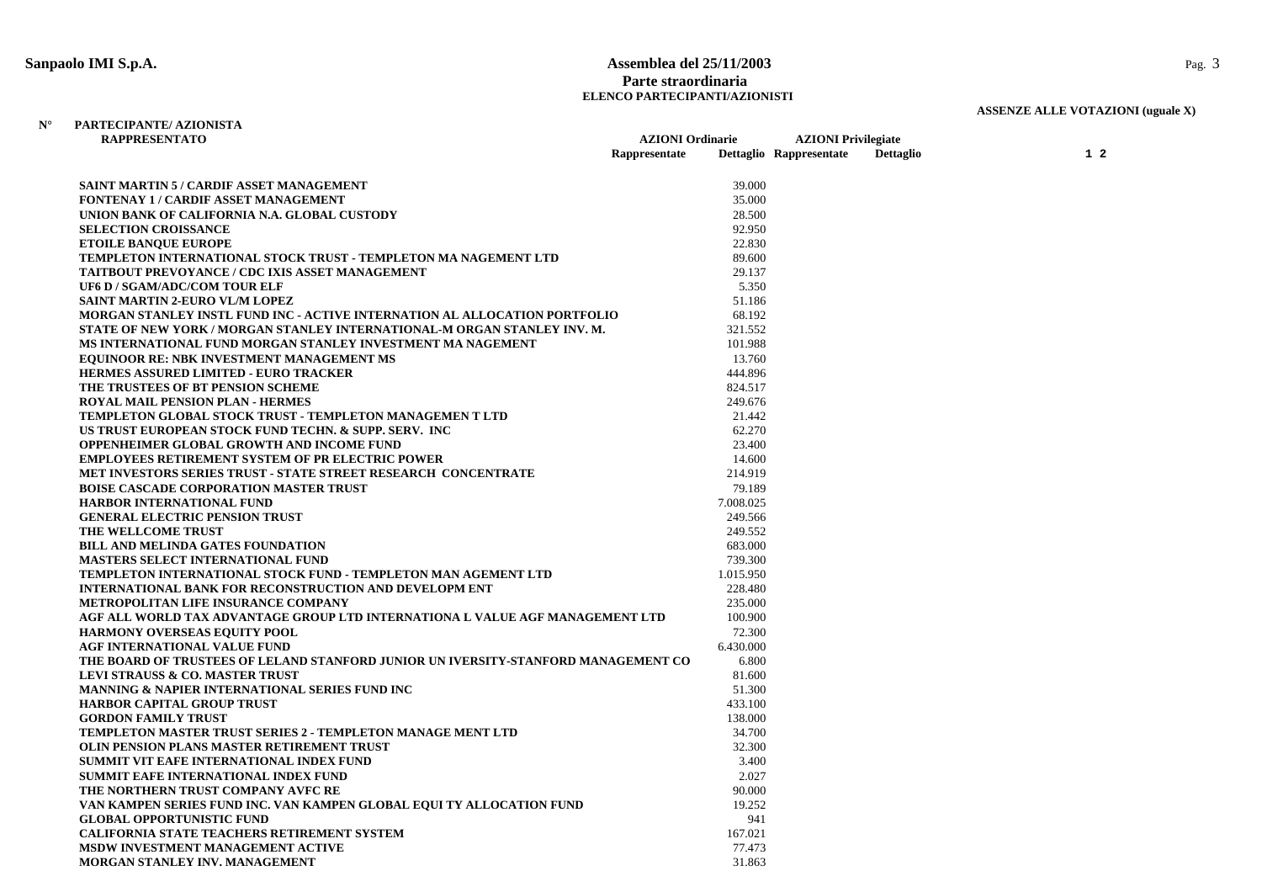### **Sanpaolo IMI S.p.A. Assemblea del 25/11/2003** Pag. 3 **Parte straordinaria ELENCO PARTECIPANTI/AZIONISTI**

# **ASSENZE ALLE VOTAZIONI (uguale X)**

#### **N° PARTECIPANTE/ AZIONISTARAPPRESENTATO**

| <b>RAPPRESENTATO</b>                                                               | <b>AZIONI</b> Ordinarie |           | <b>AZIONI</b> Privilegiate |                  |  |                |
|------------------------------------------------------------------------------------|-------------------------|-----------|----------------------------|------------------|--|----------------|
|                                                                                    | Rappresentate           |           | Dettaglio Rappresentate    | <b>Dettaglio</b> |  | 1 <sub>2</sub> |
|                                                                                    |                         |           |                            |                  |  |                |
| <b>SAINT MARTIN 5 / CARDIF ASSET MANAGEMENT</b>                                    |                         | 39.000    |                            |                  |  |                |
| <b>FONTENAY 1 / CARDIF ASSET MANAGEMENT</b>                                        |                         | 35.000    |                            |                  |  |                |
| UNION BANK OF CALIFORNIA N.A. GLOBAL CUSTODY                                       |                         | 28.500    |                            |                  |  |                |
| <b>SELECTION CROISSANCE</b>                                                        |                         | 92.950    |                            |                  |  |                |
| <b>ETOILE BANOUE EUROPE</b>                                                        |                         | 22.830    |                            |                  |  |                |
| TEMPLETON INTERNATIONAL STOCK TRUST - TEMPLETON MA NAGEMENT LTD                    |                         | 89.600    |                            |                  |  |                |
| <b>TAITBOUT PREVOYANCE / CDC IXIS ASSET MANAGEMENT</b>                             |                         | 29.137    |                            |                  |  |                |
| UF6 D / SGAM/ADC/COM TOUR ELF                                                      |                         | 5.350     |                            |                  |  |                |
| SAINT MARTIN 2-EURO VL/M LOPEZ                                                     |                         | 51.186    |                            |                  |  |                |
| MORGAN STANLEY INSTL FUND INC - ACTIVE INTERNATION AL ALLOCATION PORTFOLIO         |                         | 68.192    |                            |                  |  |                |
| STATE OF NEW YORK / MORGAN STANLEY INTERNATIONAL-M ORGAN STANLEY INV. M.           |                         | 321.552   |                            |                  |  |                |
| MS INTERNATIONAL FUND MORGAN STANLEY INVESTMENT MA NAGEMENT                        |                         | 101.988   |                            |                  |  |                |
| <b>EQUINOOR RE: NBK INVESTMENT MANAGEMENT MS</b>                                   |                         | 13.760    |                            |                  |  |                |
| <b>HERMES ASSURED LIMITED - EURO TRACKER</b>                                       |                         | 444.896   |                            |                  |  |                |
| THE TRUSTEES OF BT PENSION SCHEME                                                  |                         | 824.517   |                            |                  |  |                |
| <b>ROYAL MAIL PENSION PLAN - HERMES</b>                                            |                         | 249.676   |                            |                  |  |                |
| TEMPLETON GLOBAL STOCK TRUST - TEMPLETON MANAGEMEN T LTD                           |                         | 21.442    |                            |                  |  |                |
| US TRUST EUROPEAN STOCK FUND TECHN. & SUPP. SERV. INC                              |                         | 62.270    |                            |                  |  |                |
| <b>OPPENHEIMER GLOBAL GROWTH AND INCOME FUND</b>                                   |                         | 23.400    |                            |                  |  |                |
| <b>EMPLOYEES RETIREMENT SYSTEM OF PR ELECTRIC POWER</b>                            |                         | 14.600    |                            |                  |  |                |
| MET INVESTORS SERIES TRUST - STATE STREET RESEARCH CONCENTRATE                     |                         | 214.919   |                            |                  |  |                |
| <b>BOISE CASCADE CORPORATION MASTER TRUST</b>                                      |                         | 79.189    |                            |                  |  |                |
| <b>HARBOR INTERNATIONAL FUND</b>                                                   |                         | 7.008.025 |                            |                  |  |                |
| <b>GENERAL ELECTRIC PENSION TRUST</b>                                              |                         | 249.566   |                            |                  |  |                |
| THE WELLCOME TRUST                                                                 |                         | 249.552   |                            |                  |  |                |
| <b>BILL AND MELINDA GATES FOUNDATION</b>                                           |                         | 683.000   |                            |                  |  |                |
| <b>MASTERS SELECT INTERNATIONAL FUND</b>                                           |                         | 739.300   |                            |                  |  |                |
| TEMPLETON INTERNATIONAL STOCK FUND - TEMPLETON MAN AGEMENT LTD                     |                         | 1.015.950 |                            |                  |  |                |
| <b>INTERNATIONAL BANK FOR RECONSTRUCTION AND DEVELOPM ENT</b>                      |                         | 228.480   |                            |                  |  |                |
| METROPOLITAN LIFE INSURANCE COMPANY                                                |                         | 235.000   |                            |                  |  |                |
| AGF ALL WORLD TAX ADVANTAGE GROUP LTD INTERNATIONA L VALUE AGF MANAGEMENT LTD      |                         | 100.900   |                            |                  |  |                |
| <b>HARMONY OVERSEAS EQUITY POOL</b>                                                |                         | 72.300    |                            |                  |  |                |
| AGF INTERNATIONAL VALUE FUND                                                       |                         | 6.430.000 |                            |                  |  |                |
| THE BOARD OF TRUSTEES OF LELAND STANFORD JUNIOR UN IVERSITY-STANFORD MANAGEMENT CO |                         | 6.800     |                            |                  |  |                |
| <b>LEVI STRAUSS &amp; CO. MASTER TRUST</b>                                         |                         | 81.600    |                            |                  |  |                |
| <b>MANNING &amp; NAPIER INTERNATIONAL SERIES FUND INC</b>                          |                         | 51.300    |                            |                  |  |                |
| <b>HARBOR CAPITAL GROUP TRUST</b>                                                  |                         | 433.100   |                            |                  |  |                |
| <b>GORDON FAMILY TRUST</b>                                                         |                         | 138.000   |                            |                  |  |                |
| TEMPLETON MASTER TRUST SERIES 2 - TEMPLETON MANAGE MENT LTD                        |                         | 34.700    |                            |                  |  |                |
| OLIN PENSION PLANS MASTER RETIREMENT TRUST                                         |                         | 32.300    |                            |                  |  |                |
| SUMMIT VIT EAFE INTERNATIONAL INDEX FUND                                           |                         | 3.400     |                            |                  |  |                |
| SUMMIT EAFE INTERNATIONAL INDEX FUND                                               |                         | 2.027     |                            |                  |  |                |
| THE NORTHERN TRUST COMPANY AVFC RE                                                 |                         | 90.000    |                            |                  |  |                |
| VAN KAMPEN SERIES FUND INC. VAN KAMPEN GLOBAL EQUI TY ALLOCATION FUND              |                         | 19.252    |                            |                  |  |                |
| <b>GLOBAL OPPORTUNISTIC FUND</b>                                                   |                         | 941       |                            |                  |  |                |
| <b>CALIFORNIA STATE TEACHERS RETIREMENT SYSTEM</b>                                 |                         | 167.021   |                            |                  |  |                |
| MSDW INVESTMENT MANAGEMENT ACTIVE                                                  |                         | 77.473    |                            |                  |  |                |
| <b>MORGAN STANLEY INV. MANAGEMENT</b>                                              |                         | 31.863    |                            |                  |  |                |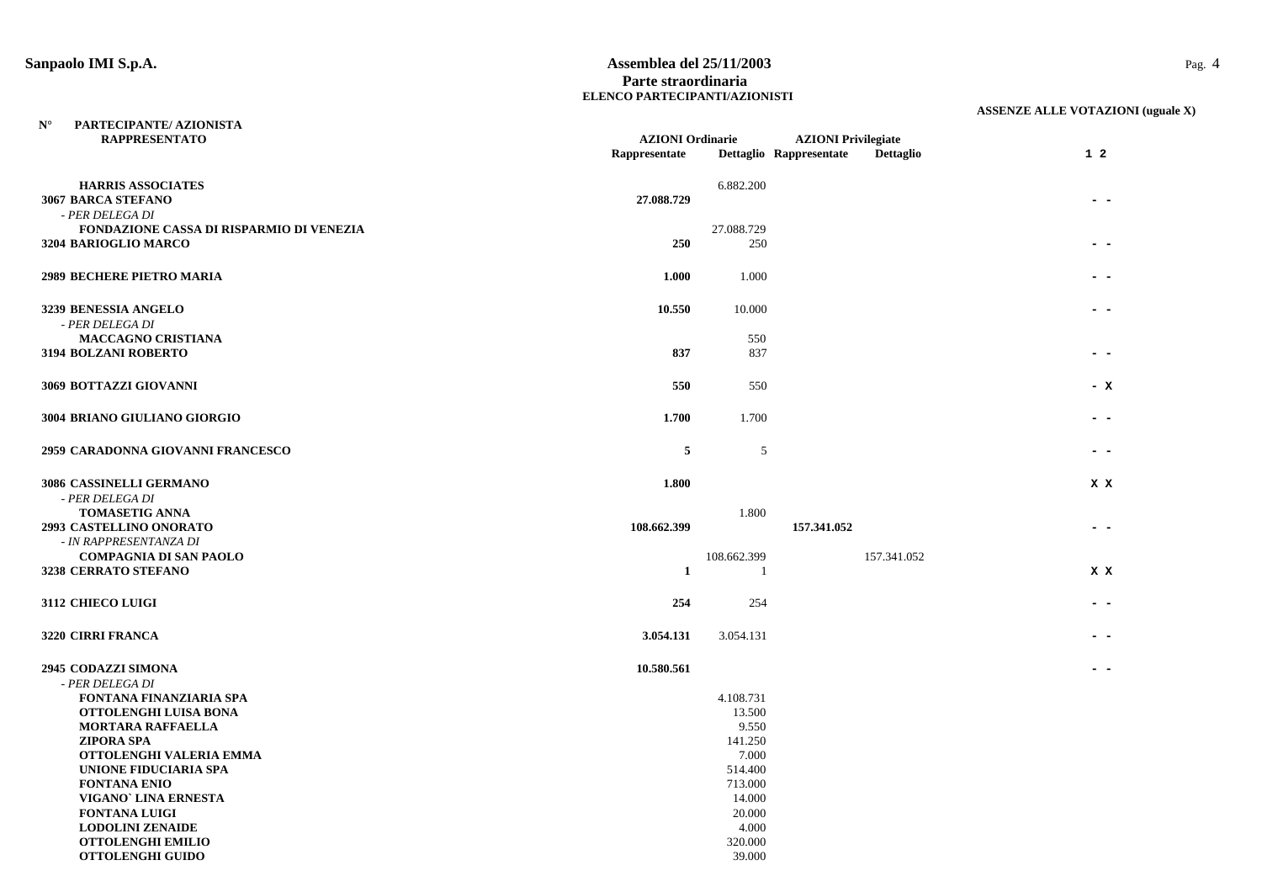**N°**

#### **Sanpaolo IMI S.p.A. Assemblea del 25/11/2003** Pag. 4 **Parte straordinaria ELENCO PARTECIPANTI/AZIONISTI**

| <b>RAPPRESENTATO</b>                                              | <b>AZIONI</b> Ordinarie |             | <b>AZIONI Privilegiate</b> |                  |           |  |
|-------------------------------------------------------------------|-------------------------|-------------|----------------------------|------------------|-----------|--|
|                                                                   | Rappresentate           |             | Dettaglio Rappresentate    | <b>Dettaglio</b> | $1\quad2$ |  |
| <b>HARRIS ASSOCIATES</b><br>3067 BARCA STEFANO<br>- PER DELEGA DI | 27.088.729              | 6.882.200   |                            |                  |           |  |
| FONDAZIONE CASSA DI RISPARMIO DI VENEZIA                          |                         | 27.088.729  |                            |                  |           |  |
| 3204 BARIOGLIO MARCO                                              | 250                     | 250         |                            |                  |           |  |
| <b>2989 BECHERE PIETRO MARIA</b>                                  | 1.000                   | 1.000       |                            |                  |           |  |
| 3239 BENESSIA ANGELO<br>- PER DELEGA DI                           | 10.550                  | 10.000      |                            |                  |           |  |
| <b>MACCAGNO CRISTIANA</b>                                         |                         | 550         |                            |                  |           |  |
| <b>3194 BOLZANI ROBERTO</b>                                       | 837                     | 837         |                            |                  |           |  |
| 3069 BOTTAZZI GIOVANNI                                            | 550                     | 550         |                            |                  | – X       |  |
| 3004 BRIANO GIULIANO GIORGIO                                      | 1.700                   | 1.700       |                            |                  |           |  |
| 2959 CARADONNA GIOVANNI FRANCESCO                                 | 5                       | 5           |                            |                  |           |  |
| 3086 CASSINELLI GERMANO                                           | 1.800                   |             |                            |                  | X X       |  |
| - PER DELEGA DI                                                   |                         |             |                            |                  |           |  |
| <b>TOMASETIG ANNA</b>                                             |                         | 1.800       |                            |                  |           |  |
| 2993 CASTELLINO ONORATO                                           | 108.662.399             |             | 157.341.052                |                  |           |  |
| - IN RAPPRESENTANZA DI                                            |                         |             |                            |                  |           |  |
| <b>COMPAGNIA DI SAN PAOLO</b>                                     |                         | 108.662.399 |                            | 157.341.052      |           |  |
| 3238 CERRATO STEFANO                                              | $\mathbf{1}$            | -1          |                            |                  | X X       |  |
| 3112 CHIECO LUIGI                                                 | 254                     | 254         |                            |                  |           |  |
| 3220 CIRRI FRANCA                                                 | 3.054.131               | 3.054.131   |                            |                  |           |  |
| 2945 CODAZZI SIMONA                                               | 10.580.561              |             |                            |                  |           |  |
| - PER DELEGA DI                                                   |                         |             |                            |                  |           |  |
| <b>FONTANA FINANZIARIA SPA</b>                                    |                         | 4.108.731   |                            |                  |           |  |
| OTTOLENGHI LUISA BONA                                             |                         | 13.500      |                            |                  |           |  |
| <b>MORTARA RAFFAELLA</b>                                          |                         | 9.550       |                            |                  |           |  |
| <b>ZIPORA SPA</b>                                                 |                         | 141.250     |                            |                  |           |  |
| OTTOLENGHI VALERIA EMMA                                           |                         | 7.000       |                            |                  |           |  |
| UNIONE FIDUCIARIA SPA                                             |                         | 514.400     |                            |                  |           |  |
| <b>FONTANA ENIO</b>                                               |                         | 713.000     |                            |                  |           |  |
| VIGANO' LINA ERNESTA                                              |                         | 14.000      |                            |                  |           |  |
| <b>FONTANA LUIGI</b>                                              |                         | 20.000      |                            |                  |           |  |
| <b>LODOLINI ZENAIDE</b>                                           |                         | 4.000       |                            |                  |           |  |
| <b>OTTOLENGHI EMILIO</b>                                          |                         | 320.000     |                            |                  |           |  |
| <b>OTTOLENGHI GUIDO</b>                                           |                         | 39.000      |                            |                  |           |  |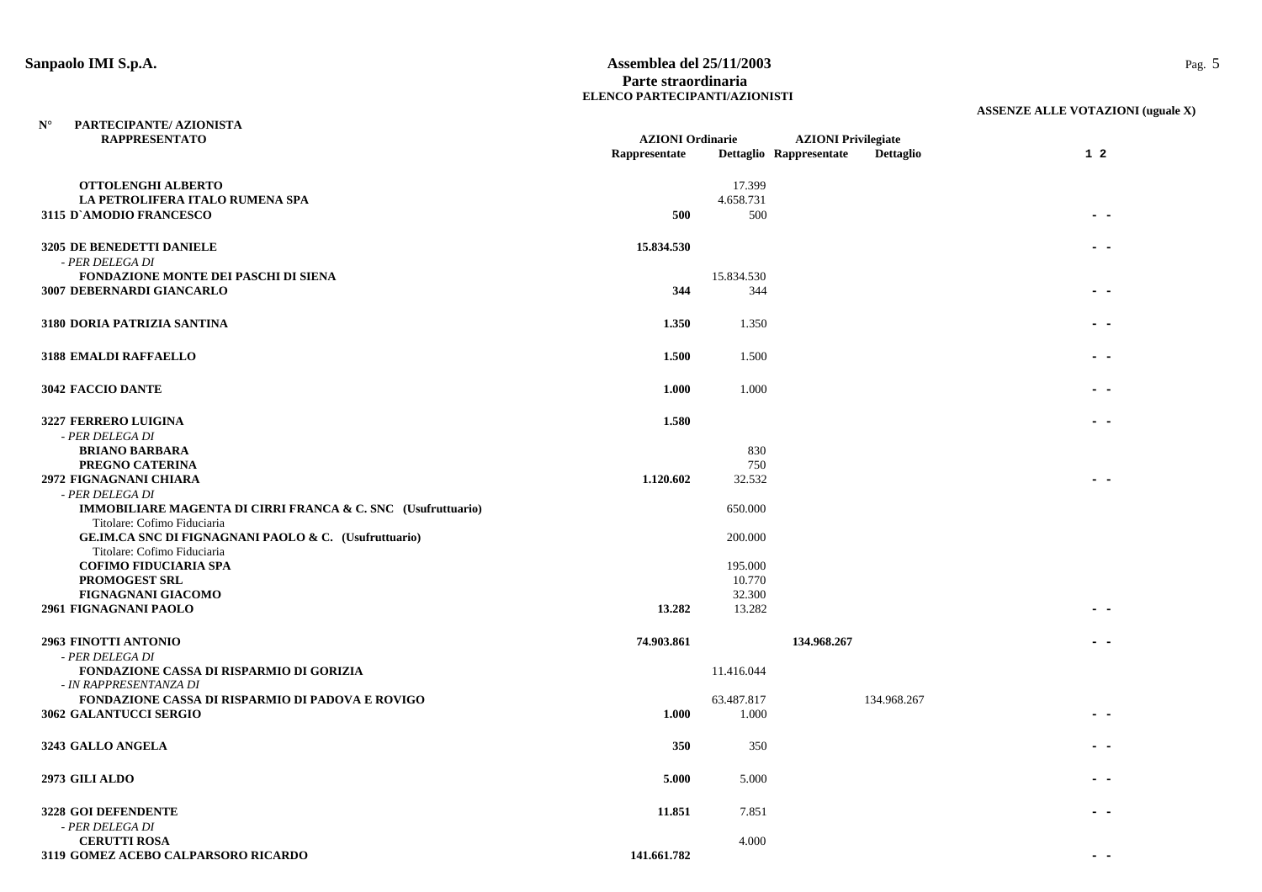**N°**

#### **Sanpaolo IMI S.p.A. Assemblea del 25/11/2003** Pag. 5 **Parte straordinaria ELENCO PARTECIPANTI/AZIONISTI**

| <b>RAPPRESENTATO</b>                                         | <b>AZIONI</b> Ordinarie |            | <b>AZIONI</b> Privilegiate |                  |                |
|--------------------------------------------------------------|-------------------------|------------|----------------------------|------------------|----------------|
|                                                              | Rappresentate           |            | Dettaglio Rappresentate    | <b>Dettaglio</b> | 1 <sub>2</sub> |
| OTTOLENGHI ALBERTO                                           |                         | 17.399     |                            |                  |                |
| LA PETROLIFERA ITALO RUMENA SPA                              |                         | 4.658.731  |                            |                  |                |
| <b>3115 D'AMODIO FRANCESCO</b>                               | 500                     | 500        |                            |                  |                |
|                                                              |                         |            |                            |                  |                |
| 3205 DE BENEDETTI DANIELE                                    | 15.834.530              |            |                            |                  |                |
| - PER DELEGA DI                                              |                         |            |                            |                  |                |
| <b>FONDAZIONE MONTE DEI PASCHI DI SIENA</b>                  |                         | 15.834.530 |                            |                  |                |
| <b>3007 DEBERNARDI GIANCARLO</b>                             | 344                     | 344        |                            |                  |                |
|                                                              |                         |            |                            |                  |                |
| 3180 DORIA PATRIZIA SANTINA                                  | 1.350                   | 1.350      |                            |                  |                |
|                                                              |                         |            |                            |                  |                |
| <b>3188 EMALDI RAFFAELLO</b>                                 | 1.500                   | 1.500      |                            |                  |                |
|                                                              |                         |            |                            |                  |                |
| <b>3042 FACCIO DANTE</b>                                     | 1.000                   | 1.000      |                            |                  |                |
|                                                              |                         |            |                            |                  |                |
| 3227 FERRERO LUIGINA                                         | 1.580                   |            |                            |                  |                |
| - PER DELEGA DI                                              |                         |            |                            |                  |                |
| <b>BRIANO BARBARA</b>                                        |                         | 830        |                            |                  |                |
| PREGNO CATERINA                                              |                         | 750        |                            |                  |                |
| 2972 FIGNAGNANI CHIARA                                       | 1.120.602               | 32.532     |                            |                  |                |
| - PER DELEGA DI                                              |                         |            |                            |                  |                |
| IMMOBILIARE MAGENTA DI CIRRI FRANCA & C. SNC (Usufruttuario) |                         | 650.000    |                            |                  |                |
| Titolare: Cofimo Fiduciaria                                  |                         |            |                            |                  |                |
| GE.IM.CA SNC DI FIGNAGNANI PAOLO & C. (Usufruttuario)        |                         | 200.000    |                            |                  |                |
| Titolare: Cofimo Fiduciaria<br><b>COFIMO FIDUCIARIA SPA</b>  |                         | 195.000    |                            |                  |                |
| PROMOGEST SRL                                                |                         | 10.770     |                            |                  |                |
| FIGNAGNANI GIACOMO                                           |                         | 32.300     |                            |                  |                |
| 2961 FIGNAGNANI PAOLO                                        | 13.282                  | 13.282     |                            |                  |                |
|                                                              |                         |            |                            |                  |                |
| <b>2963 FINOTTI ANTONIO</b>                                  | 74.903.861              |            | 134.968.267                |                  |                |
| - PER DELEGA DI                                              |                         |            |                            |                  |                |
| FONDAZIONE CASSA DI RISPARMIO DI GORIZIA                     |                         | 11.416.044 |                            |                  |                |
| - IN RAPPRESENTANZA DI                                       |                         |            |                            |                  |                |
| FONDAZIONE CASSA DI RISPARMIO DI PADOVA E ROVIGO             |                         | 63.487.817 |                            | 134.968.267      |                |
| 3062 GALANTUCCI SERGIO                                       | 1.000                   | 1.000      |                            |                  |                |
|                                                              |                         |            |                            |                  |                |
| 3243 GALLO ANGELA                                            | 350                     | 350        |                            |                  |                |
|                                                              |                         |            |                            |                  |                |
| 2973 GILI ALDO                                               | 5.000                   | 5.000      |                            |                  |                |
|                                                              |                         |            |                            |                  |                |
| 3228 GOI DEFENDENTE                                          | 11.851                  | 7.851      |                            |                  |                |
| - PER DELEGA DI                                              |                         |            |                            |                  |                |
| <b>CERUTTI ROSA</b>                                          | 141.661.782             | 4.000      |                            |                  |                |
| 3119 GOMEZ ACEBO CALPARSORO RICARDO                          |                         |            |                            |                  |                |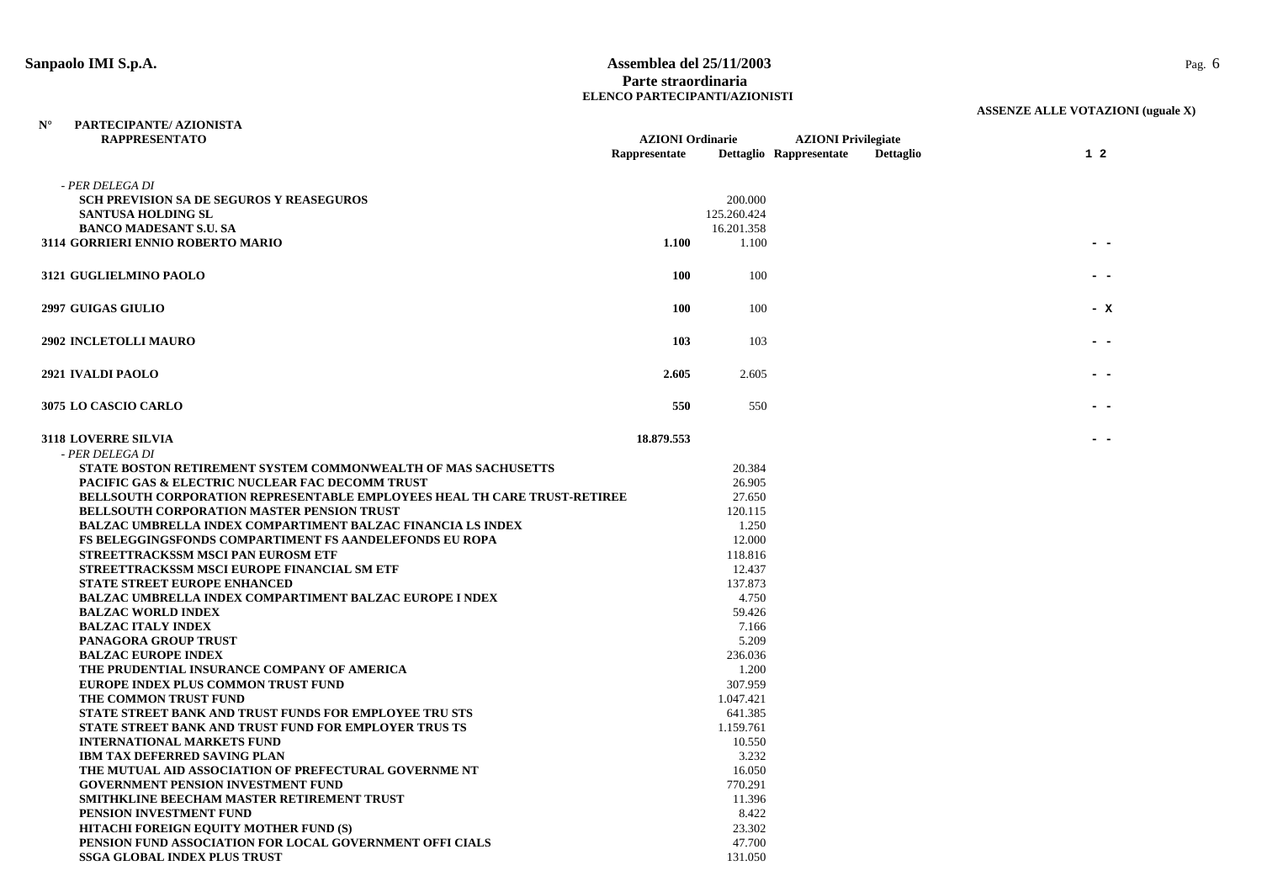#### **Sanpaolo IMI S.p.A. Assemblea del 25/11/2003** Pag. 6 **Parte straordinaria ELENCO PARTECIPANTI/AZIONISTI**

| PARTECIPANTE/ AZIONISTA<br>$N^{\circ}$                                          |                         |             |                                      |           |
|---------------------------------------------------------------------------------|-------------------------|-------------|--------------------------------------|-----------|
| <b>RAPPRESENTATO</b>                                                            | <b>AZIONI</b> Ordinarie |             | <b>AZIONI</b> Privilegiate           |           |
|                                                                                 | Rappresentate           |             | Dettaglio Rappresentate<br>Dettaglio | $1\quad2$ |
|                                                                                 |                         |             |                                      |           |
| - PER DELEGA DI                                                                 |                         |             |                                      |           |
| <b>SCH PREVISION SA DE SEGUROS Y REASEGUROS</b>                                 |                         | 200.000     |                                      |           |
| <b>SANTUSA HOLDING SL</b>                                                       |                         | 125.260.424 |                                      |           |
| <b>BANCO MADESANT S.U. SA</b>                                                   |                         | 16.201.358  |                                      |           |
| 3114 GORRIERI ENNIO ROBERTO MARIO                                               | 1.100                   | 1.100       |                                      |           |
|                                                                                 |                         |             |                                      |           |
| 3121 GUGLIELMINO PAOLO                                                          | <b>100</b>              | 100         |                                      |           |
|                                                                                 |                         |             |                                      |           |
| <b>2997 GUIGAS GIULIO</b>                                                       | <b>100</b>              | 100         |                                      | - x       |
|                                                                                 |                         |             |                                      |           |
| <b>2902 INCLETOLLI MAURO</b>                                                    | 103                     | 103         |                                      |           |
|                                                                                 |                         |             |                                      |           |
| 2921 IVALDI PAOLO                                                               | 2.605                   | 2.605       |                                      |           |
|                                                                                 |                         |             |                                      |           |
| 3075 LO CASCIO CARLO                                                            | 550                     | 550         |                                      |           |
|                                                                                 |                         |             |                                      |           |
| <b>3118 LOVERRE SILVIA</b>                                                      | 18.879.553              |             |                                      |           |
| - PER DELEGA DI                                                                 |                         |             |                                      |           |
| STATE BOSTON RETIREMENT SYSTEM COMMONWEALTH OF MAS SACHUSETTS                   |                         | 20.384      |                                      |           |
| PACIFIC GAS & ELECTRIC NUCLEAR FAC DECOMM TRUST                                 |                         | 26.905      |                                      |           |
| <b>BELLSOUTH CORPORATION REPRESENTABLE EMPLOYEES HEAL TH CARE TRUST-RETIREE</b> |                         | 27.650      |                                      |           |
| BELLSOUTH CORPORATION MASTER PENSION TRUST                                      |                         | 120.115     |                                      |           |
| <b>BALZAC UMBRELLA INDEX COMPARTIMENT BALZAC FINANCIA LS INDEX</b>              |                         | 1.250       |                                      |           |
| <b>FS BELEGGINGSFONDS COMPARTIMENT FS AANDELEFONDS EU ROPA</b>                  |                         | 12.000      |                                      |           |
| STREETTRACKSSM MSCI PAN EUROSM ETF                                              |                         | 118.816     |                                      |           |
| STREETTRACKSSM MSCI EUROPE FINANCIAL SM ETF                                     |                         | 12.437      |                                      |           |
| STATE STREET EUROPE ENHANCED                                                    |                         | 137.873     |                                      |           |
| <b>BALZAC UMBRELLA INDEX COMPARTIMENT BALZAC EUROPE I NDEX</b>                  |                         | 4.750       |                                      |           |
| <b>BALZAC WORLD INDEX</b>                                                       |                         | 59.426      |                                      |           |
| <b>BALZAC ITALY INDEX</b>                                                       |                         | 7.166       |                                      |           |
| PANAGORA GROUP TRUST                                                            |                         | 5.209       |                                      |           |
| <b>BALZAC EUROPE INDEX</b>                                                      |                         | 236.036     |                                      |           |
| THE PRUDENTIAL INSURANCE COMPANY OF AMERICA                                     |                         | 1.200       |                                      |           |
| EUROPE INDEX PLUS COMMON TRUST FUND                                             |                         | 307.959     |                                      |           |
| THE COMMON TRUST FUND                                                           |                         | 1.047.421   |                                      |           |
| STATE STREET BANK AND TRUST FUNDS FOR EMPLOYEE TRU STS                          |                         | 641.385     |                                      |           |
| <b>STATE STREET BANK AND TRUST FUND FOR EMPLOYER TRUS TS</b>                    |                         | 1.159.761   |                                      |           |
| <b>INTERNATIONAL MARKETS FUND</b>                                               |                         | 10.550      |                                      |           |
| <b>IBM TAX DEFERRED SAVING PLAN</b>                                             |                         | 3.232       |                                      |           |
| THE MUTUAL AID ASSOCIATION OF PREFECTURAL GOVERNME NT                           |                         | 16.050      |                                      |           |
| <b>GOVERNMENT PENSION INVESTMENT FUND</b>                                       |                         | 770.291     |                                      |           |
| SMITHKLINE BEECHAM MASTER RETIREMENT TRUST                                      |                         | 11.396      |                                      |           |
| PENSION INVESTMENT FUND                                                         |                         | 8.422       |                                      |           |
| HITACHI FOREIGN EQUITY MOTHER FUND (S)                                          |                         | 23.302      |                                      |           |
| PENSION FUND ASSOCIATION FOR LOCAL GOVERNMENT OFFI CIALS                        |                         | 47.700      |                                      |           |
| <b>SSGA GLOBAL INDEX PLUS TRUST</b>                                             |                         | 131.050     |                                      |           |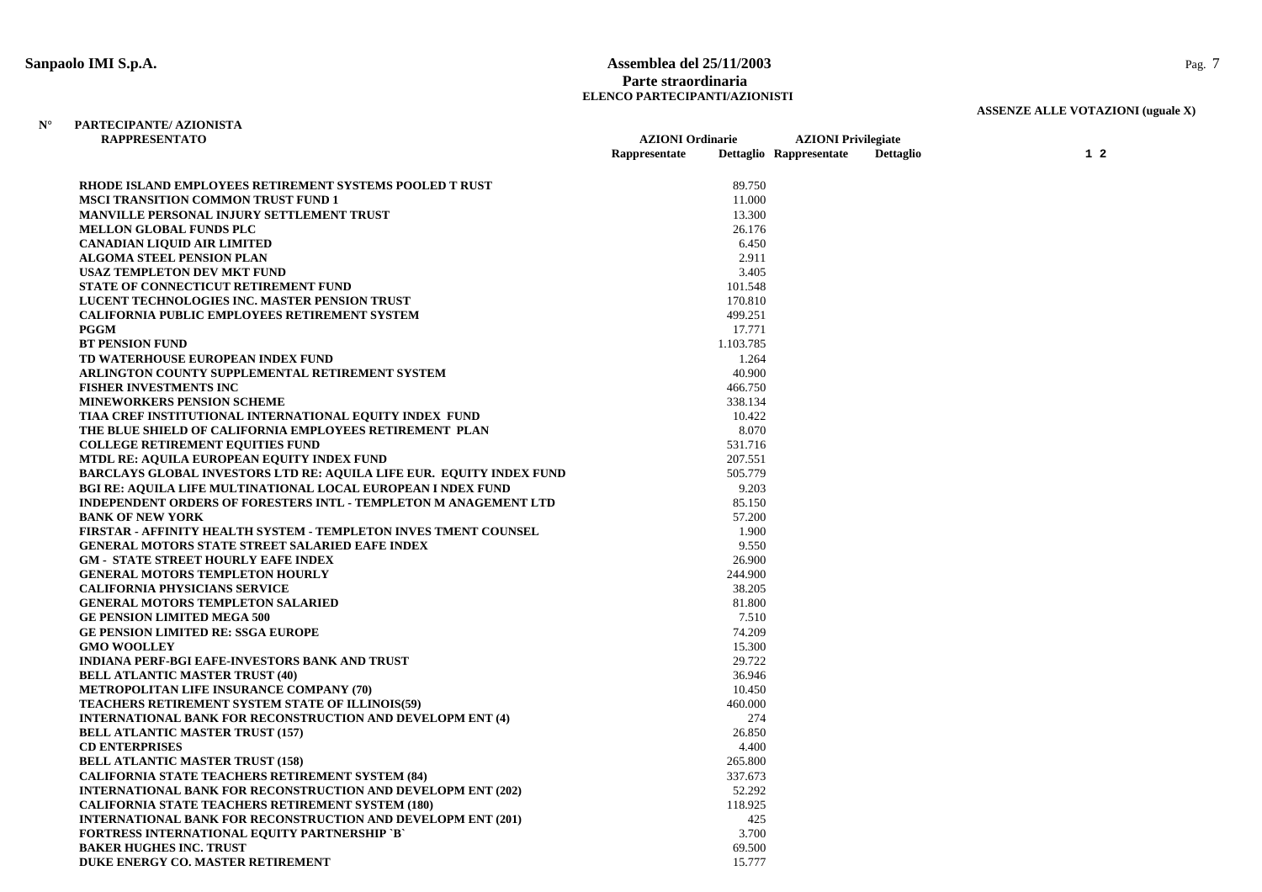**N°**

# **Sanpaolo IMI S.p.A. Assemblea del 25/11/2003** Pag. 7 **Parte straordinaria ELENCO PARTECIPANTI/AZIONISTI**

| <b>RAPPRESENTATO</b>                                                        | <b>AZIONI</b> Ordinarie | <b>AZIONI</b> Privilegiate |                  |           |  |
|-----------------------------------------------------------------------------|-------------------------|----------------------------|------------------|-----------|--|
|                                                                             | Rappresentate           | Dettaglio Rappresentate    | <b>Dettaglio</b> | $1\quad2$ |  |
| RHODE ISLAND EMPLOYEES RETIREMENT SYSTEMS POOLED T RUST                     | 89.750                  |                            |                  |           |  |
| <b>MSCI TRANSITION COMMON TRUST FUND 1</b>                                  | 11.000                  |                            |                  |           |  |
| <b>MANVILLE PERSONAL INJURY SETTLEMENT TRUST</b>                            | 13.300                  |                            |                  |           |  |
| <b>MELLON GLOBAL FUNDS PLC</b>                                              | 26.176                  |                            |                  |           |  |
| <b>CANADIAN LIQUID AIR LIMITED</b>                                          | 6.450                   |                            |                  |           |  |
| <b>ALGOMA STEEL PENSION PLAN</b>                                            | 2.911                   |                            |                  |           |  |
| <b>USAZ TEMPLETON DEV MKT FUND</b>                                          | 3.405                   |                            |                  |           |  |
| <b>STATE OF CONNECTICUT RETIREMENT FUND</b>                                 | 101.548                 |                            |                  |           |  |
| LUCENT TECHNOLOGIES INC. MASTER PENSION TRUST                               | 170.810                 |                            |                  |           |  |
| <b>CALIFORNIA PUBLIC EMPLOYEES RETIREMENT SYSTEM</b>                        | 499.251                 |                            |                  |           |  |
| <b>PGGM</b>                                                                 | 17.771                  |                            |                  |           |  |
| <b>BT PENSION FUND</b>                                                      | 1.103.785               |                            |                  |           |  |
| TD WATERHOUSE EUROPEAN INDEX FUND                                           | 1.264                   |                            |                  |           |  |
| ARLINGTON COUNTY SUPPLEMENTAL RETIREMENT SYSTEM                             | 40.900                  |                            |                  |           |  |
| <b>FISHER INVESTMENTS INC</b>                                               | 466.750                 |                            |                  |           |  |
| <b>MINEWORKERS PENSION SCHEME</b>                                           | 338.134                 |                            |                  |           |  |
| TIAA CREF INSTITUTIONAL INTERNATIONAL EQUITY INDEX FUND                     | 10.422                  |                            |                  |           |  |
| THE BLUE SHIELD OF CALIFORNIA EMPLOYEES RETIREMENT PLAN                     | 8.070                   |                            |                  |           |  |
| <b>COLLEGE RETIREMENT EQUITIES FUND</b>                                     | 531.716                 |                            |                  |           |  |
| MTDL RE: AQUILA EUROPEAN EQUITY INDEX FUND                                  | 207.551                 |                            |                  |           |  |
| <b>BARCLAYS GLOBAL INVESTORS LTD RE: AQUILA LIFE EUR. EQUITY INDEX FUND</b> | 505.779                 |                            |                  |           |  |
| <b>BGI RE: AQUILA LIFE MULTINATIONAL LOCAL EUROPEAN I NDEX FUND</b>         | 9.203                   |                            |                  |           |  |
| <b>INDEPENDENT ORDERS OF FORESTERS INTL - TEMPLETON M ANAGEMENT LTD</b>     | 85.150                  |                            |                  |           |  |
| <b>BANK OF NEW YORK</b>                                                     | 57.200                  |                            |                  |           |  |
| FIRSTAR - AFFINITY HEALTH SYSTEM - TEMPLETON INVES TMENT COUNSEL            | 1.900                   |                            |                  |           |  |
| <b>GENERAL MOTORS STATE STREET SALARIED EAFE INDEX</b>                      | 9.550                   |                            |                  |           |  |
| <b>GM - STATE STREET HOURLY EAFE INDEX</b>                                  | 26.900                  |                            |                  |           |  |
| <b>GENERAL MOTORS TEMPLETON HOURLY</b>                                      | 244.900                 |                            |                  |           |  |
| <b>CALIFORNIA PHYSICIANS SERVICE</b>                                        | 38.205                  |                            |                  |           |  |
| <b>GENERAL MOTORS TEMPLETON SALARIED</b>                                    | 81.800                  |                            |                  |           |  |
| <b>GE PENSION LIMITED MEGA 500</b>                                          | 7.510                   |                            |                  |           |  |
| <b>GE PENSION LIMITED RE: SSGA EUROPE</b>                                   | 74.209                  |                            |                  |           |  |
| <b>GMO WOOLLEY</b>                                                          | 15.300                  |                            |                  |           |  |
| <b>INDIANA PERF-BGI EAFE-INVESTORS BANK AND TRUST</b>                       | 29.722                  |                            |                  |           |  |
| <b>BELL ATLANTIC MASTER TRUST (40)</b>                                      | 36.946                  |                            |                  |           |  |
| METROPOLITAN LIFE INSURANCE COMPANY (70)                                    | 10.450                  |                            |                  |           |  |
| <b>TEACHERS RETIREMENT SYSTEM STATE OF ILLINOIS(59)</b>                     | 460.000                 |                            |                  |           |  |
| <b>INTERNATIONAL BANK FOR RECONSTRUCTION AND DEVELOPM ENT (4)</b>           |                         | 274                        |                  |           |  |
| <b>BELL ATLANTIC MASTER TRUST (157)</b>                                     | 26.850                  |                            |                  |           |  |
| <b>CD ENTERPRISES</b>                                                       | 4.400                   |                            |                  |           |  |
| <b>BELL ATLANTIC MASTER TRUST (158)</b>                                     | 265.800                 |                            |                  |           |  |
| <b>CALIFORNIA STATE TEACHERS RETIREMENT SYSTEM (84)</b>                     | 337.673                 |                            |                  |           |  |
| <b>INTERNATIONAL BANK FOR RECONSTRUCTION AND DEVELOPM ENT (202)</b>         | 52.292                  |                            |                  |           |  |
| <b>CALIFORNIA STATE TEACHERS RETIREMENT SYSTEM (180)</b>                    | 118.925                 |                            |                  |           |  |
| <b>INTERNATIONAL BANK FOR RECONSTRUCTION AND DEVELOPM ENT (201)</b>         |                         | 425                        |                  |           |  |
| <b>FORTRESS INTERNATIONAL EQUITY PARTNERSHIP `B`</b>                        | 3.700                   |                            |                  |           |  |
| <b>BAKER HUGHES INC. TRUST</b>                                              | 69.500                  |                            |                  |           |  |
| DUKE ENERGY CO. MASTER RETIREMENT                                           | 15.777                  |                            |                  |           |  |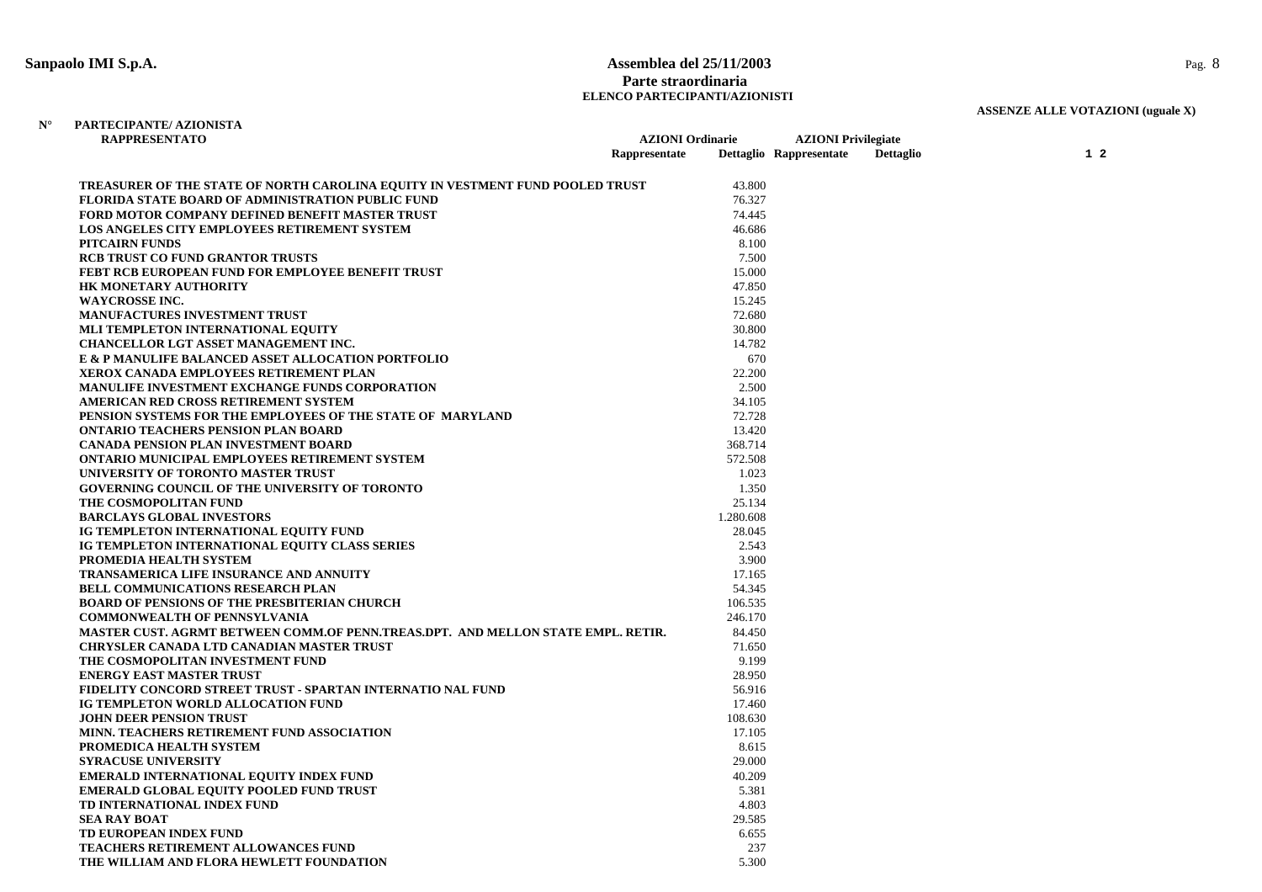#### **Sanpaolo IMI S.p.A. Assemblea del 25/11/2003** Pag. 8 **Parte straordinaria ELENCO PARTECIPANTI/AZIONISTI**

# **ASSENZE ALLE VOTAZIONI (uguale X)**

#### **N°PARTECIPANTE/ AZIONISTA**

| <b>RAPPRESENTATO</b>                                                             |               | <b>AZIONI</b> Ordinarie |                         | <b>AZIONI</b> Privilegiate |                |
|----------------------------------------------------------------------------------|---------------|-------------------------|-------------------------|----------------------------|----------------|
|                                                                                  | Rappresentate |                         | Dettaglio Rappresentate | <b>Dettaglio</b>           | 1 <sub>2</sub> |
| TREASURER OF THE STATE OF NORTH CAROLINA EQUITY IN VESTMENT FUND POOLED TRUST    |               | 43.800                  |                         |                            |                |
| FLORIDA STATE BOARD OF ADMINISTRATION PUBLIC FUND                                |               | 76.327                  |                         |                            |                |
| FORD MOTOR COMPANY DEFINED BENEFIT MASTER TRUST                                  |               | 74.445                  |                         |                            |                |
| <b>LOS ANGELES CITY EMPLOYEES RETIREMENT SYSTEM</b>                              |               | 46.686                  |                         |                            |                |
| <b>PITCAIRN FUNDS</b>                                                            |               | 8.100                   |                         |                            |                |
| <b>RCB TRUST CO FUND GRANTOR TRUSTS</b>                                          |               | 7.500                   |                         |                            |                |
| <b>FEBT RCB EUROPEAN FUND FOR EMPLOYEE BENEFIT TRUST</b>                         |               | 15.000                  |                         |                            |                |
| <b>HK MONETARY AUTHORITY</b>                                                     |               | 47.850                  |                         |                            |                |
| <b>WAYCROSSE INC.</b>                                                            |               | 15.245                  |                         |                            |                |
| <b>MANUFACTURES INVESTMENT TRUST</b>                                             |               | 72.680                  |                         |                            |                |
| MLI TEMPLETON INTERNATIONAL EQUITY                                               |               | 30.800                  |                         |                            |                |
| CHANCELLOR LGT ASSET MANAGEMENT INC.                                             |               | 14.782                  |                         |                            |                |
| E & P MANULIFE BALANCED ASSET ALLOCATION PORTFOLIO                               |               | 670                     |                         |                            |                |
| <b>XEROX CANADA EMPLOYEES RETIREMENT PLAN</b>                                    |               | 22.200                  |                         |                            |                |
| <b>MANULIFE INVESTMENT EXCHANGE FUNDS CORPORATION</b>                            |               | 2.500                   |                         |                            |                |
| AMERICAN RED CROSS RETIREMENT SYSTEM                                             |               | 34.105                  |                         |                            |                |
| PENSION SYSTEMS FOR THE EMPLOYEES OF THE STATE OF MARYLAND                       |               | 72.728                  |                         |                            |                |
| <b>ONTARIO TEACHERS PENSION PLAN BOARD</b>                                       |               | 13.420                  |                         |                            |                |
| <b>CANADA PENSION PLAN INVESTMENT BOARD</b>                                      |               | 368.714                 |                         |                            |                |
| <b>ONTARIO MUNICIPAL EMPLOYEES RETIREMENT SYSTEM</b>                             |               | 572.508                 |                         |                            |                |
| UNIVERSITY OF TORONTO MASTER TRUST                                               |               | 1.023                   |                         |                            |                |
| <b>GOVERNING COUNCIL OF THE UNIVERSITY OF TORONTO</b>                            |               | 1.350                   |                         |                            |                |
| THE COSMOPOLITAN FUND                                                            |               | 25.134                  |                         |                            |                |
| <b>BARCLAYS GLOBAL INVESTORS</b>                                                 |               | 1.280.608               |                         |                            |                |
| IG TEMPLETON INTERNATIONAL EQUITY FUND                                           |               | 28.045                  |                         |                            |                |
| IG TEMPLETON INTERNATIONAL EQUITY CLASS SERIES                                   |               | 2.543                   |                         |                            |                |
| PROMEDIA HEALTH SYSTEM                                                           |               | 3.900                   |                         |                            |                |
| <b>TRANSAMERICA LIFE INSURANCE AND ANNUITY</b>                                   |               | 17.165                  |                         |                            |                |
| <b>BELL COMMUNICATIONS RESEARCH PLAN</b>                                         |               | 54.345                  |                         |                            |                |
| <b>BOARD OF PENSIONS OF THE PRESBITERIAN CHURCH</b>                              |               | 106.535                 |                         |                            |                |
| <b>COMMONWEALTH OF PENNSYLVANIA</b>                                              |               | 246.170                 |                         |                            |                |
| MASTER CUST. AGRMT BETWEEN COMM.OF PENN.TREAS.DPT. AND MELLON STATE EMPL. RETIR. |               | 84.450                  |                         |                            |                |
| <b>CHRYSLER CANADA LTD CANADIAN MASTER TRUST</b>                                 |               | 71.650                  |                         |                            |                |
| THE COSMOPOLITAN INVESTMENT FUND                                                 |               | 9.199                   |                         |                            |                |
| <b>ENERGY EAST MASTER TRUST</b>                                                  |               | 28.950                  |                         |                            |                |
| FIDELITY CONCORD STREET TRUST - SPARTAN INTERNATIO NAL FUND                      |               | 56.916                  |                         |                            |                |
| IG TEMPLETON WORLD ALLOCATION FUND                                               |               | 17.460                  |                         |                            |                |
| <b>JOHN DEER PENSION TRUST</b>                                                   |               | 108.630                 |                         |                            |                |
| MINN. TEACHERS RETIREMENT FUND ASSOCIATION                                       |               | 17.105                  |                         |                            |                |
| PROMEDICA HEALTH SYSTEM                                                          |               | 8.615                   |                         |                            |                |
| <b>SYRACUSE UNIVERSITY</b>                                                       |               | 29.000                  |                         |                            |                |
| EMERALD INTERNATIONAL EQUITY INDEX FUND                                          |               | 40.209                  |                         |                            |                |
| <b>EMERALD GLOBAL EQUITY POOLED FUND TRUST</b>                                   |               | 5.381                   |                         |                            |                |
| TD INTERNATIONAL INDEX FUND                                                      |               | 4.803                   |                         |                            |                |
| <b>SEA RAY BOAT</b>                                                              |               | 29.585                  |                         |                            |                |
| TD EUROPEAN INDEX FUND                                                           |               | 6.655                   |                         |                            |                |
| <b>TEACHERS RETIREMENT ALLOWANCES FUND</b>                                       |               | 237                     |                         |                            |                |
| THE WILLIAM AND FLORA HEWLETT FOUNDATION                                         |               | 5.300                   |                         |                            |                |
|                                                                                  |               |                         |                         |                            |                |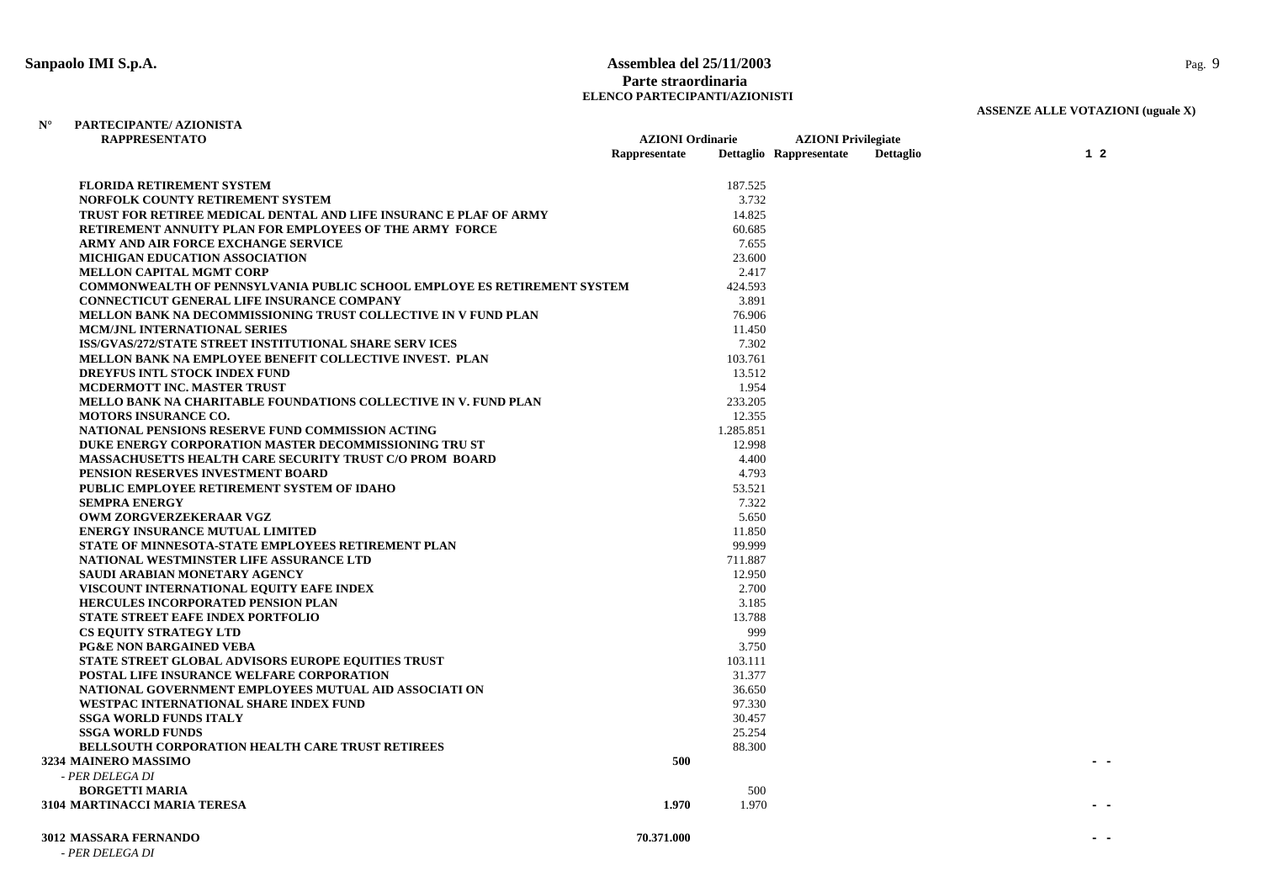### **Sanpaolo IMI S.p.A. Assemblea del 25/11/2003** Pag. 9 **Parte straordinaria ELENCO PARTECIPANTI/AZIONISTI**

**AZIONI Ordinarie AZIONI Privilegiate** 

# **ASSENZE ALLE VOTAZIONI (uguale X)**

#### **N° PARTECIPANTE/ AZIONISTA RAPPRESENTATO**

|                                                                                | Rappresentate |           | Dettaglio Rappresentate | Dettaglio | $1\,2$ |
|--------------------------------------------------------------------------------|---------------|-----------|-------------------------|-----------|--------|
| <b>FLORIDA RETIREMENT SYSTEM</b>                                               |               | 187.525   |                         |           |        |
| NORFOLK COUNTY RETIREMENT SYSTEM                                               |               | 3.732     |                         |           |        |
| TRUST FOR RETIREE MEDICAL DENTAL AND LIFE INSURANC E PLAF OF ARMY              |               | 14.825    |                         |           |        |
| RETIREMENT ANNUITY PLAN FOR EMPLOYEES OF THE ARMY FORCE                        |               | 60.685    |                         |           |        |
| ARMY AND AIR FORCE EXCHANGE SERVICE                                            |               | 7.655     |                         |           |        |
| <b>MICHIGAN EDUCATION ASSOCIATION</b>                                          |               | 23.600    |                         |           |        |
| <b>MELLON CAPITAL MGMT CORP</b>                                                |               | 2.417     |                         |           |        |
| <b>COMMONWEALTH OF PENNSYLVANIA PUBLIC SCHOOL EMPLOYE ES RETIREMENT SYSTEM</b> |               | 424.593   |                         |           |        |
| <b>CONNECTICUT GENERAL LIFE INSURANCE COMPANY</b>                              |               | 3.891     |                         |           |        |
| MELLON BANK NA DECOMMISSIONING TRUST COLLECTIVE IN V FUND PLAN                 |               | 76.906    |                         |           |        |
| MCM/JNL INTERNATIONAL SERIES                                                   |               | 11.450    |                         |           |        |
| ISS/GVAS/272/STATE STREET INSTITUTIONAL SHARE SERV ICES                        |               | 7.302     |                         |           |        |
| <b>MELLON BANK NA EMPLOYEE BENEFIT COLLECTIVE INVEST. PLAN</b>                 |               | 103.761   |                         |           |        |
| <b>DREYFUS INTL STOCK INDEX FUND</b>                                           |               | 13.512    |                         |           |        |
| <b>MCDERMOTT INC. MASTER TRUST</b>                                             |               | 1.954     |                         |           |        |
| <b>MELLO BANK NA CHARITABLE FOUNDATIONS COLLECTIVE IN V. FUND PLAN</b>         |               | 233.205   |                         |           |        |
| MOTORS INSURANCE CO.                                                           |               | 12.355    |                         |           |        |
| NATIONAL PENSIONS RESERVE FUND COMMISSION ACTING                               |               | 1.285.851 |                         |           |        |
| DUKE ENERGY CORPORATION MASTER DECOMMISSIONING TRU ST                          |               | 12.998    |                         |           |        |
| <b>MASSACHUSETTS HEALTH CARE SECURITY TRUST C/O PROM BOARD</b>                 |               | 4.400     |                         |           |        |
| PENSION RESERVES INVESTMENT BOARD                                              |               | 4.793     |                         |           |        |
| PUBLIC EMPLOYEE RETIREMENT SYSTEM OF IDAHO                                     |               | 53.521    |                         |           |        |
| <b>SEMPRA ENERGY</b>                                                           |               | 7.322     |                         |           |        |
| OWM ZORGVERZEKERAAR VGZ                                                        |               | 5.650     |                         |           |        |
| <b>ENERGY INSURANCE MUTUAL LIMITED</b>                                         |               | 11.850    |                         |           |        |
| STATE OF MINNESOTA-STATE EMPLOYEES RETIREMENT PLAN                             |               | 99.999    |                         |           |        |
| NATIONAL WESTMINSTER LIFE ASSURANCE LTD                                        |               | 711.887   |                         |           |        |
| SAUDI ARABIAN MONETARY AGENCY                                                  |               | 12.950    |                         |           |        |
| VISCOUNT INTERNATIONAL EQUITY EAFE INDEX                                       |               | 2.700     |                         |           |        |
| <b>HERCULES INCORPORATED PENSION PLAN</b>                                      |               | 3.185     |                         |           |        |
| <b>STATE STREET EAFE INDEX PORTFOLIO</b>                                       |               | 13.788    |                         |           |        |
| <b>CS EQUITY STRATEGY LTD</b>                                                  |               | 999       |                         |           |        |
| <b>PG&amp;E NON BARGAINED VEBA</b>                                             |               | 3.750     |                         |           |        |
| <b>STATE STREET GLOBAL ADVISORS EUROPE EQUITIES TRUST</b>                      |               | 103.111   |                         |           |        |
| POSTAL LIFE INSURANCE WELFARE CORPORATION                                      |               | 31.377    |                         |           |        |
| NATIONAL GOVERNMENT EMPLOYEES MUTUAL AID ASSOCIATI ON                          |               | 36.650    |                         |           |        |
| WESTPAC INTERNATIONAL SHARE INDEX FUND                                         |               | 97.330    |                         |           |        |
| <b>SSGA WORLD FUNDS ITALY</b>                                                  |               | 30.457    |                         |           |        |
| <b>SSGA WORLD FUNDS</b>                                                        |               | 25.254    |                         |           |        |
| <b>BELLSOUTH CORPORATION HEALTH CARE TRUST RETIREES</b>                        |               | 88.300    |                         |           |        |
| 3234 MAINERO MASSIMO                                                           | 500           |           |                         |           |        |
| - PER DELEGA DI                                                                |               |           |                         |           |        |
| <b>BORGETTI MARIA</b>                                                          |               | 500       |                         |           |        |
| <b>3104 MARTINACCI MARIA TERESA</b>                                            | 1.970         | 1.970     |                         |           |        |
|                                                                                |               |           |                         |           |        |

|  |  | <b>3012 MASSARA FERNANDO</b> |
|--|--|------------------------------|
|--|--|------------------------------|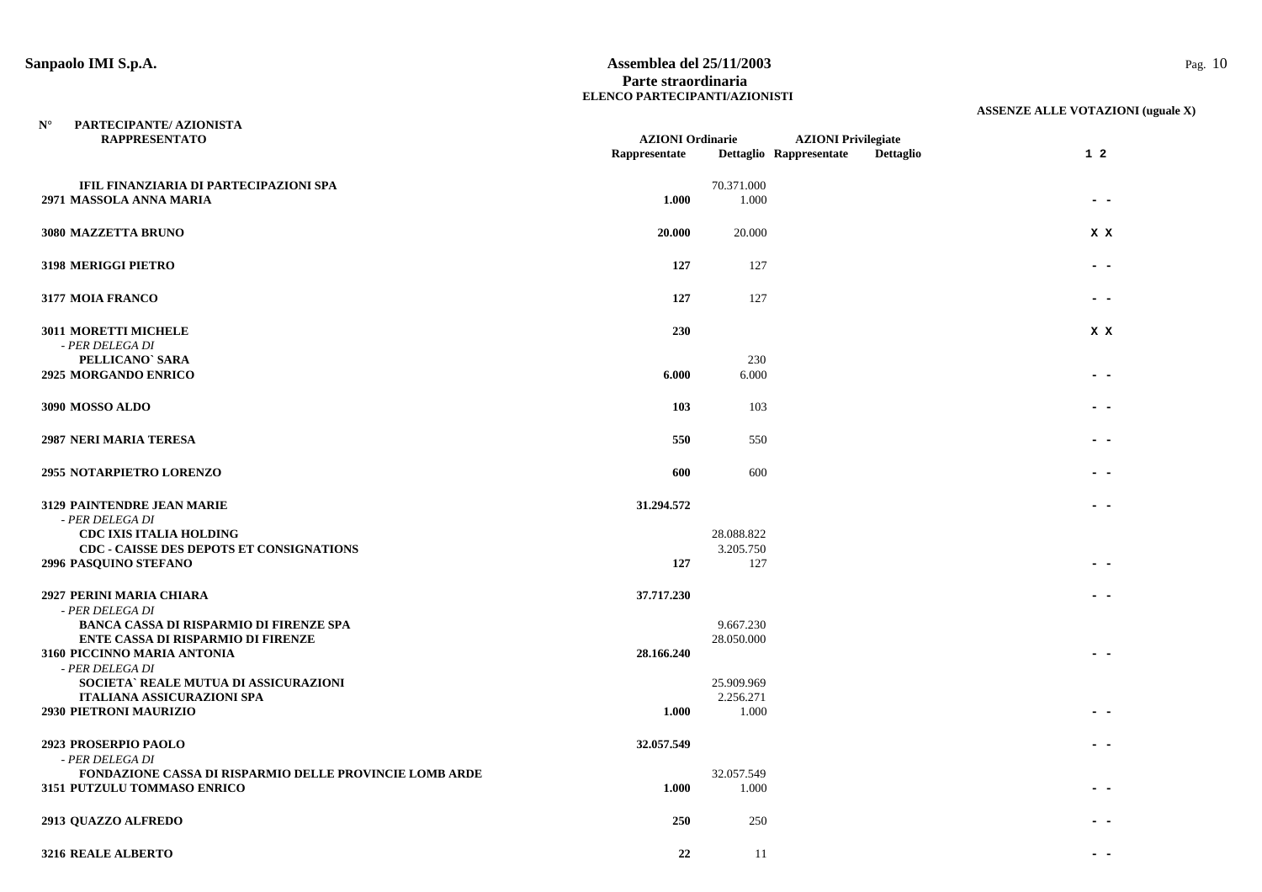**N°**

#### **Sanpaolo IMI S.p.A. Assemblea del 25/11/2003** Pag. 10 **Parte straordinaria ELENCO PARTECIPANTI/AZIONISTI**

| <b>RAPPRESENTATO</b>                                                                        | <b>AZIONI</b> Ordinarie |                         | <b>AZIONI</b> Privilegiate |                  |                |  |
|---------------------------------------------------------------------------------------------|-------------------------|-------------------------|----------------------------|------------------|----------------|--|
|                                                                                             | Rappresentate           |                         | Dettaglio Rappresentate    | <b>Dettaglio</b> | 1 <sub>2</sub> |  |
| IFIL FINANZIARIA DI PARTECIPAZIONI SPA                                                      |                         | 70.371.000              |                            |                  |                |  |
| 2971 MASSOLA ANNA MARIA                                                                     | 1.000                   | 1.000                   |                            |                  |                |  |
|                                                                                             | 20.000                  | 20.000                  |                            |                  |                |  |
| 3080 MAZZETTA BRUNO                                                                         |                         |                         |                            |                  | X X            |  |
| 3198 MERIGGI PIETRO                                                                         | 127                     | 127                     |                            |                  |                |  |
| 3177 MOIA FRANCO                                                                            | 127                     | 127                     |                            |                  |                |  |
| <b>3011 MORETTI MICHELE</b>                                                                 | 230                     |                         |                            |                  | X X            |  |
| - PER DELEGA DI                                                                             |                         |                         |                            |                  |                |  |
| PELLICANO' SARA<br>2925 MORGANDO ENRICO                                                     | 6.000                   | 230<br>6.000            |                            |                  |                |  |
|                                                                                             |                         |                         |                            |                  |                |  |
| 3090 MOSSO ALDO                                                                             | 103                     | 103                     |                            |                  |                |  |
| <b>2987 NERI MARIA TERESA</b>                                                               | 550                     | 550                     |                            |                  |                |  |
|                                                                                             |                         |                         |                            |                  |                |  |
| <b>2955 NOTARPIETRO LORENZO</b>                                                             | 600                     | 600                     |                            |                  |                |  |
| 3129 PAINTENDRE JEAN MARIE                                                                  | 31.294.572              |                         |                            |                  |                |  |
| - PER DELEGA DI                                                                             |                         |                         |                            |                  |                |  |
| <b>CDC IXIS ITALIA HOLDING</b>                                                              |                         | 28.088.822              |                            |                  |                |  |
| <b>CDC - CAISSE DES DEPOTS ET CONSIGNATIONS</b><br>2996 PASQUINO STEFANO                    | 127                     | 3.205.750<br>127        |                            |                  |                |  |
|                                                                                             |                         |                         |                            |                  |                |  |
| 2927 PERINI MARIA CHIARA                                                                    | 37.717.230              |                         |                            |                  |                |  |
| - PER DELEGA DI                                                                             |                         |                         |                            |                  |                |  |
| <b>BANCA CASSA DI RISPARMIO DI FIRENZE SPA</b><br><b>ENTE CASSA DI RISPARMIO DI FIRENZE</b> |                         | 9.667.230<br>28.050.000 |                            |                  |                |  |
| 3160 PICCINNO MARIA ANTONIA                                                                 | 28.166.240              |                         |                            |                  |                |  |
| - PER DELEGA DI                                                                             |                         |                         |                            |                  |                |  |
| SOCIETA` REALE MUTUA DI ASSICURAZIONI                                                       |                         | 25.909.969              |                            |                  |                |  |
| <b>ITALIANA ASSICURAZIONI SPA</b>                                                           |                         | 2.256.271               |                            |                  |                |  |
| 2930 PIETRONI MAURIZIO                                                                      | 1.000                   | 1.000                   |                            |                  |                |  |
| 2923 PROSERPIO PAOLO                                                                        | 32.057.549              |                         |                            |                  |                |  |
| - PER DELEGA DI                                                                             |                         |                         |                            |                  |                |  |
| <b>FONDAZIONE CASSA DI RISPARMIO DELLE PROVINCIE LOMB ARDE</b>                              |                         | 32.057.549              |                            |                  |                |  |
| 3151 PUTZULU TOMMASO ENRICO                                                                 | 1.000                   | 1.000                   |                            |                  |                |  |
| <b>2913 QUAZZO ALFREDO</b>                                                                  | 250                     | 250                     |                            |                  |                |  |
|                                                                                             |                         |                         |                            |                  |                |  |
| <b>3216 REALE ALBERTO</b>                                                                   | 22                      | 11                      |                            |                  |                |  |